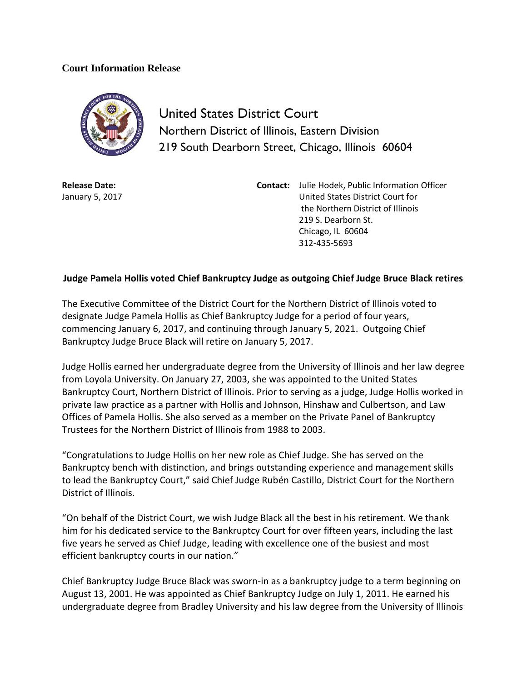## **Court Information Release**



United States District Court Northern District of Illinois, Eastern Division 219 South Dearborn Street, Chicago, Illinois 60604

**Release Date:** January 5, 2017

**Contact:** Julie Hodek, Public Information Officer United States District Court for the Northern District of Illinois 219 S. Dearborn St. Chicago, IL 60604 312-435-5693

## **Judge Pamela Hollis voted Chief Bankruptcy Judge as outgoing Chief Judge Bruce Black retires**

The Executive Committee of the District Court for the Northern District of Illinois voted to designate Judge Pamela Hollis as Chief Bankruptcy Judge for a period of four years, commencing January 6, 2017, and continuing through January 5, 2021. Outgoing Chief Bankruptcy Judge Bruce Black will retire on January 5, 2017.

Judge Hollis earned her undergraduate degree from the University of Illinois and her law degree from Loyola University. On January 27, 2003, she was appointed to the United States Bankruptcy Court, Northern District of Illinois. Prior to serving as a judge, Judge Hollis worked in private law practice as a partner with Hollis and Johnson, Hinshaw and Culbertson, and Law Offices of Pamela Hollis. She also served as a member on the Private Panel of Bankruptcy Trustees for the Northern District of Illinois from 1988 to 2003.

"Congratulations to Judge Hollis on her new role as Chief Judge. She has served on the Bankruptcy bench with distinction, and brings outstanding experience and management skills to lead the Bankruptcy Court," said Chief Judge Rubén Castillo, District Court for the Northern District of Illinois.

"On behalf of the District Court, we wish Judge Black all the best in his retirement. We thank him for his dedicated service to the Bankruptcy Court for over fifteen years, including the last five years he served as Chief Judge, leading with excellence one of the busiest and most efficient bankruptcy courts in our nation."

Chief Bankruptcy Judge Bruce Black was sworn-in as a bankruptcy judge to a term beginning on August 13, 2001. He was appointed as Chief Bankruptcy Judge on July 1, 2011. He earned his undergraduate degree from Bradley University and his law degree from the University of Illinois